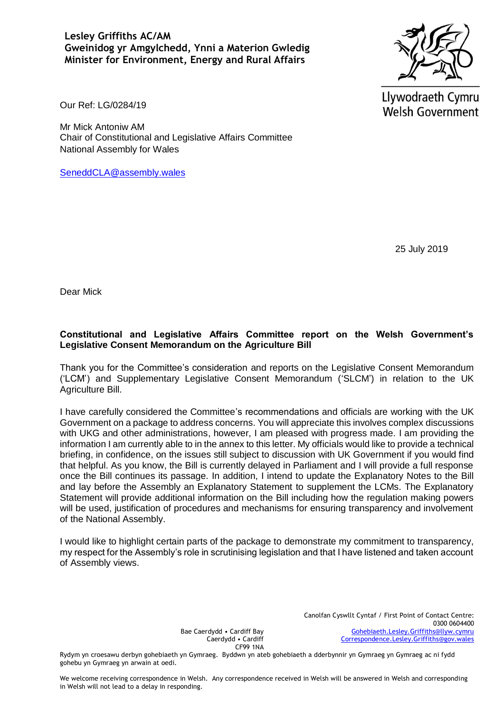**Lesley Griffiths AC/AM Gweinidog yr Amgylchedd, Ynni a Materion Gwledig Minister for Environment, Energy and Rural Affairs** 



Llywodraeth Cymru **Welsh Government** 

Our Ref: LG/0284/19

Mr Mick Antoniw AM Chair of Constitutional and Legislative Affairs Committee National Assembly for Wales

[SeneddCLA@assembly.wales](mailto:SeneddCLA@assembly.wales)

25 July 2019

Dear Mick

### **Constitutional and Legislative Affairs Committee report on the Welsh Government's Legislative Consent Memorandum on the Agriculture Bill**

Thank you for the Committee's consideration and reports on the Legislative Consent Memorandum ('LCM') and Supplementary Legislative Consent Memorandum ('SLCM') in relation to the UK Agriculture Bill.

I have carefully considered the Committee's recommendations and officials are working with the UK Government on a package to address concerns. You will appreciate this involves complex discussions with UKG and other administrations, however, I am pleased with progress made. I am providing the information I am currently able to in the annex to this letter. My officials would like to provide a technical briefing, in confidence, on the issues still subject to discussion with UK Government if you would find that helpful. As you know, the Bill is currently delayed in Parliament and I will provide a full response once the Bill continues its passage. In addition, I intend to update the Explanatory Notes to the Bill and lay before the Assembly an Explanatory Statement to supplement the LCMs. The Explanatory Statement will provide additional information on the Bill including how the regulation making powers will be used, justification of procedures and mechanisms for ensuring transparency and involvement of the National Assembly.

I would like to highlight certain parts of the package to demonstrate my commitment to transparency, my respect for the Assembly's role in scrutinising legislation and that I have listened and taken account of Assembly views.

> Canolfan Cyswllt Cyntaf / First Point of Contact Centre: 0300 0604400 [Gohebiaeth.Lesley.Griffiths@llyw.cymru](mailto:Gohebiaeth.Lesley.Griffiths@llyw.cymru) [Correspondence.Lesley.Griffiths@gov.wales](mailto:Correspondence.Lesley.Griffiths@gov.wales)

Bae Caerdydd • Cardiff Bay Caerdydd • Cardiff CF99 1NA

Rydym yn croesawu derbyn gohebiaeth yn Gymraeg. Byddwn yn ateb gohebiaeth a dderbynnir yn Gymraeg yn Gymraeg ac ni fydd gohebu yn Gymraeg yn arwain at oedi.

We welcome receiving correspondence in Welsh. Any correspondence received in Welsh will be answered in Welsh and corresponding in Welsh will not lead to a delay in responding.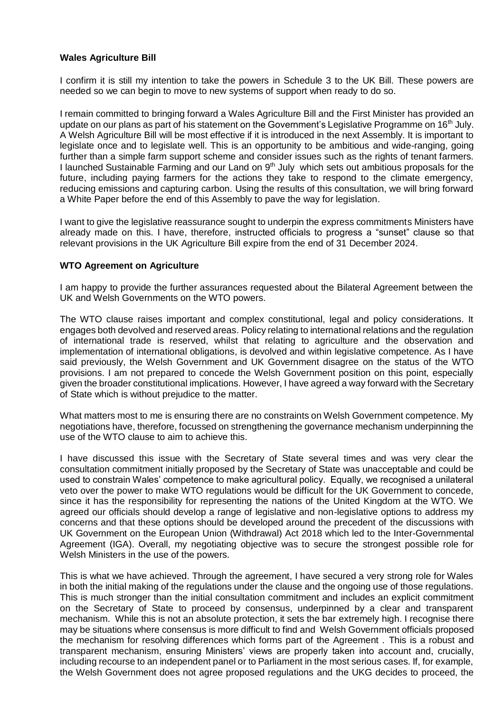### **Wales Agriculture Bill**

I confirm it is still my intention to take the powers in Schedule 3 to the UK Bill. These powers are needed so we can begin to move to new systems of support when ready to do so.

I remain committed to bringing forward a Wales Agriculture Bill and the First Minister has provided an update on our plans as part of his statement on the Government's Legislative Programme on 16<sup>th</sup> July. A Welsh Agriculture Bill will be most effective if it is introduced in the next Assembly. It is important to legislate once and to legislate well. This is an opportunity to be ambitious and wide-ranging, going further than a simple farm support scheme and consider issues such as the rights of tenant farmers. I launched Sustainable Farming and our Land on 9<sup>th</sup> July which sets out ambitious proposals for the future, including paying farmers for the actions they take to respond to the climate emergency, reducing emissions and capturing carbon. Using the results of this consultation, we will bring forward a White Paper before the end of this Assembly to pave the way for legislation.

I want to give the legislative reassurance sought to underpin the express commitments Ministers have already made on this. I have, therefore, instructed officials to progress a "sunset" clause so that relevant provisions in the UK Agriculture Bill expire from the end of 31 December 2024.

#### **WTO Agreement on Agriculture**

I am happy to provide the further assurances requested about the Bilateral Agreement between the UK and Welsh Governments on the WTO powers.

The WTO clause raises important and complex constitutional, legal and policy considerations. It engages both devolved and reserved areas. Policy relating to international relations and the regulation of international trade is reserved, whilst that relating to agriculture and the observation and implementation of international obligations, is devolved and within legislative competence. As I have said previously, the Welsh Government and UK Government disagree on the status of the WTO provisions. I am not prepared to concede the Welsh Government position on this point, especially given the broader constitutional implications. However, I have agreed a way forward with the Secretary of State which is without prejudice to the matter.

What matters most to me is ensuring there are no constraints on Welsh Government competence. My negotiations have, therefore, focussed on strengthening the governance mechanism underpinning the use of the WTO clause to aim to achieve this.

I have discussed this issue with the Secretary of State several times and was very clear the consultation commitment initially proposed by the Secretary of State was unacceptable and could be used to constrain Wales' competence to make agricultural policy. Equally, we recognised a unilateral veto over the power to make WTO regulations would be difficult for the UK Government to concede, since it has the responsibility for representing the nations of the United Kingdom at the WTO. We agreed our officials should develop a range of legislative and non-legislative options to address my concerns and that these options should be developed around the precedent of the discussions with UK Government on the European Union (Withdrawal) Act 2018 which led to the Inter-Governmental Agreement (IGA). Overall, my negotiating objective was to secure the strongest possible role for Welsh Ministers in the use of the powers.

This is what we have achieved. Through the agreement, I have secured a very strong role for Wales in both the initial making of the regulations under the clause and the ongoing use of those regulations. This is much stronger than the initial consultation commitment and includes an explicit commitment on the Secretary of State to proceed by consensus, underpinned by a clear and transparent mechanism. While this is not an absolute protection, it sets the bar extremely high. I recognise there may be situations where consensus is more difficult to find and Welsh Government officials proposed the mechanism for resolving differences which forms part of the Agreement . This is a robust and transparent mechanism, ensuring Ministers' views are properly taken into account and, crucially, including recourse to an independent panel or to Parliament in the most serious cases. If, for example, the Welsh Government does not agree proposed regulations and the UKG decides to proceed, the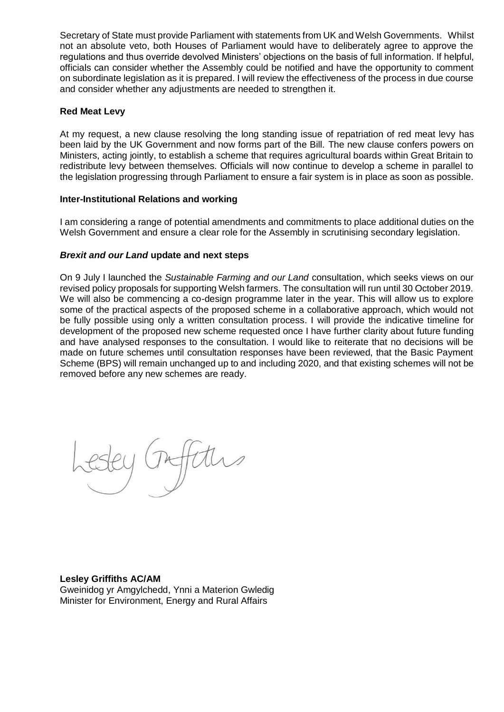Secretary of State must provide Parliament with statements from UK and Welsh Governments. Whilst not an absolute veto, both Houses of Parliament would have to deliberately agree to approve the regulations and thus override devolved Ministers' objections on the basis of full information. If helpful, officials can consider whether the Assembly could be notified and have the opportunity to comment on subordinate legislation as it is prepared. I will review the effectiveness of the process in due course and consider whether any adjustments are needed to strengthen it.

# **Red Meat Levy**

At my request, a new clause resolving the long standing issue of repatriation of red meat levy has been laid by the UK Government and now forms part of the Bill. The new clause confers powers on Ministers, acting jointly, to establish a scheme that requires agricultural boards within Great Britain to redistribute levy between themselves. Officials will now continue to develop a scheme in parallel to the legislation progressing through Parliament to ensure a fair system is in place as soon as possible.

#### **Inter-Institutional Relations and working**

I am considering a range of potential amendments and commitments to place additional duties on the Welsh Government and ensure a clear role for the Assembly in scrutinising secondary legislation.

# *Brexit and our Land* **update and next steps**

On 9 July I launched the *Sustainable Farming and our Land* consultation, which seeks views on our revised policy proposals for supporting Welsh farmers. The consultation will run until 30 October 2019. We will also be commencing a co-design programme later in the year. This will allow us to explore some of the practical aspects of the proposed scheme in a collaborative approach, which would not be fully possible using only a written consultation process. I will provide the indicative timeline for development of the proposed new scheme requested once I have further clarity about future funding and have analysed responses to the consultation. I would like to reiterate that no decisions will be made on future schemes until consultation responses have been reviewed, that the Basic Payment Scheme (BPS) will remain unchanged up to and including 2020, and that existing schemes will not be removed before any new schemes are ready.

# **Lesley Griffiths AC/AM**

Gweinidog yr Amgylchedd, Ynni a Materion Gwledig Minister for Environment, Energy and Rural Affairs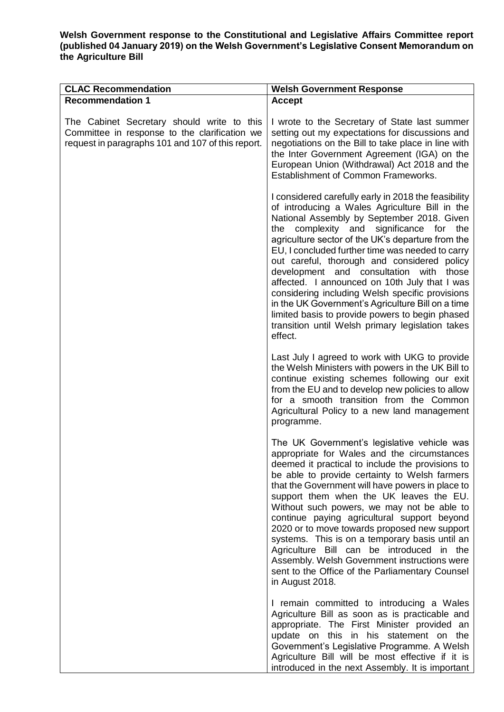#### **Welsh Government response to the Constitutional and Legislative Affairs Committee report (published 04 January 2019) on the Welsh Government's Legislative Consent Memorandum on the Agriculture Bill**

| <b>CLAC Recommendation</b>                                                                                                                       | <b>Welsh Government Response</b>                                                                                                                                                                                                                                                                                                                                                                                                                                                                                                                                                                                                                                                       |
|--------------------------------------------------------------------------------------------------------------------------------------------------|----------------------------------------------------------------------------------------------------------------------------------------------------------------------------------------------------------------------------------------------------------------------------------------------------------------------------------------------------------------------------------------------------------------------------------------------------------------------------------------------------------------------------------------------------------------------------------------------------------------------------------------------------------------------------------------|
| <b>Recommendation 1</b>                                                                                                                          | <b>Accept</b>                                                                                                                                                                                                                                                                                                                                                                                                                                                                                                                                                                                                                                                                          |
| The Cabinet Secretary should write to this<br>Committee in response to the clarification we<br>request in paragraphs 101 and 107 of this report. | I wrote to the Secretary of State last summer<br>setting out my expectations for discussions and<br>negotiations on the Bill to take place in line with<br>the Inter Government Agreement (IGA) on the<br>European Union (Withdrawal) Act 2018 and the<br>Establishment of Common Frameworks.                                                                                                                                                                                                                                                                                                                                                                                          |
|                                                                                                                                                  | I considered carefully early in 2018 the feasibility<br>of introducing a Wales Agriculture Bill in the<br>National Assembly by September 2018. Given<br>complexity and significance for<br>the<br>the<br>agriculture sector of the UK's departure from the<br>EU, I concluded further time was needed to carry<br>out careful, thorough and considered policy<br>development and consultation with<br>those<br>affected. I announced on 10th July that I was<br>considering including Welsh specific provisions<br>in the UK Government's Agriculture Bill on a time<br>limited basis to provide powers to begin phased<br>transition until Welsh primary legislation takes<br>effect. |
|                                                                                                                                                  | Last July I agreed to work with UKG to provide<br>the Welsh Ministers with powers in the UK Bill to<br>continue existing schemes following our exit<br>from the EU and to develop new policies to allow<br>for a smooth transition from the Common<br>Agricultural Policy to a new land management<br>programme.                                                                                                                                                                                                                                                                                                                                                                       |
|                                                                                                                                                  | The UK Government's legislative vehicle was<br>appropriate for Wales and the circumstances<br>deemed it practical to include the provisions to<br>be able to provide certainty to Welsh farmers<br>that the Government will have powers in place to<br>support them when the UK leaves the EU.<br>Without such powers, we may not be able to<br>continue paying agricultural support beyond<br>2020 or to move towards proposed new support<br>systems. This is on a temporary basis until an<br>Agriculture Bill can be introduced in the<br>Assembly. Welsh Government instructions were<br>sent to the Office of the Parliamentary Counsel<br>in August 2018.                       |
|                                                                                                                                                  | I remain committed to introducing a Wales<br>Agriculture Bill as soon as is practicable and<br>appropriate. The First Minister provided an<br>update on this in his statement on the<br>Government's Legislative Programme. A Welsh<br>Agriculture Bill will be most effective if it is<br>introduced in the next Assembly. It is important                                                                                                                                                                                                                                                                                                                                            |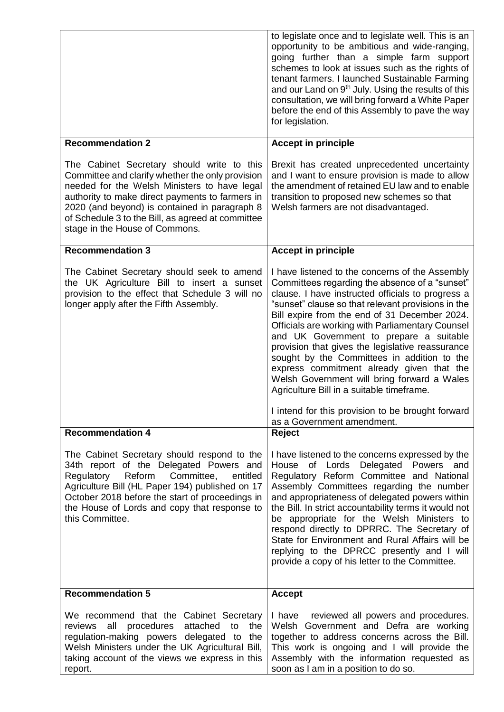|                                                                                                                                                                                                                                                                                                                                           | to legislate once and to legislate well. This is an<br>opportunity to be ambitious and wide-ranging,<br>going further than a simple farm support<br>schemes to look at issues such as the rights of<br>tenant farmers. I launched Sustainable Farming<br>and our Land on 9 <sup>th</sup> July. Using the results of this<br>consultation, we will bring forward a White Paper<br>before the end of this Assembly to pave the way<br>for legislation.                                                                                                                                                                                                                                        |
|-------------------------------------------------------------------------------------------------------------------------------------------------------------------------------------------------------------------------------------------------------------------------------------------------------------------------------------------|---------------------------------------------------------------------------------------------------------------------------------------------------------------------------------------------------------------------------------------------------------------------------------------------------------------------------------------------------------------------------------------------------------------------------------------------------------------------------------------------------------------------------------------------------------------------------------------------------------------------------------------------------------------------------------------------|
| <b>Recommendation 2</b>                                                                                                                                                                                                                                                                                                                   | <b>Accept in principle</b>                                                                                                                                                                                                                                                                                                                                                                                                                                                                                                                                                                                                                                                                  |
| The Cabinet Secretary should write to this<br>Committee and clarify whether the only provision<br>needed for the Welsh Ministers to have legal<br>authority to make direct payments to farmers in<br>2020 (and beyond) is contained in paragraph 8<br>of Schedule 3 to the Bill, as agreed at committee<br>stage in the House of Commons. | Brexit has created unprecedented uncertainty<br>and I want to ensure provision is made to allow<br>the amendment of retained EU law and to enable<br>transition to proposed new schemes so that<br>Welsh farmers are not disadvantaged.                                                                                                                                                                                                                                                                                                                                                                                                                                                     |
| <b>Recommendation 3</b>                                                                                                                                                                                                                                                                                                                   | <b>Accept in principle</b>                                                                                                                                                                                                                                                                                                                                                                                                                                                                                                                                                                                                                                                                  |
| The Cabinet Secretary should seek to amend<br>the UK Agriculture Bill to insert a sunset<br>provision to the effect that Schedule 3 will no<br>longer apply after the Fifth Assembly.                                                                                                                                                     | I have listened to the concerns of the Assembly<br>Committees regarding the absence of a "sunset"<br>clause. I have instructed officials to progress a<br>"sunset" clause so that relevant provisions in the<br>Bill expire from the end of 31 December 2024.<br>Officials are working with Parliamentary Counsel<br>and UK Government to prepare a suitable<br>provision that gives the legislative reassurance<br>sought by the Committees in addition to the<br>express commitment already given that the<br>Welsh Government will bring forward a Wales<br>Agriculture Bill in a suitable timeframe.<br>I intend for this provision to be brought forward<br>as a Government amendment. |
| <b>Recommendation 4</b>                                                                                                                                                                                                                                                                                                                   | <b>Reject</b>                                                                                                                                                                                                                                                                                                                                                                                                                                                                                                                                                                                                                                                                               |
| The Cabinet Secretary should respond to the<br>34th report of the Delegated Powers and<br>Reform<br>Committee,<br>Regulatory<br>entitled<br>Agriculture Bill (HL Paper 194) published on 17<br>October 2018 before the start of proceedings in<br>the House of Lords and copy that response to<br>this Committee.                         | I have listened to the concerns expressed by the<br>House of Lords Delegated Powers and<br>Regulatory Reform Committee and National<br>Assembly Committees regarding the number<br>and appropriateness of delegated powers within<br>the Bill. In strict accountability terms it would not<br>be appropriate for the Welsh Ministers to<br>respond directly to DPRRC. The Secretary of<br>State for Environment and Rural Affairs will be<br>replying to the DPRCC presently and I will<br>provide a copy of his letter to the Committee.                                                                                                                                                   |
| <b>Recommendation 5</b>                                                                                                                                                                                                                                                                                                                   | <b>Accept</b>                                                                                                                                                                                                                                                                                                                                                                                                                                                                                                                                                                                                                                                                               |
| We recommend that the Cabinet Secretary<br>procedures<br>all<br>attached<br>the<br>reviews<br>to<br>regulation-making powers delegated to the<br>Welsh Ministers under the UK Agricultural Bill,<br>taking account of the views we express in this<br>report.                                                                             | I have reviewed all powers and procedures.<br>Welsh Government and Defra are working<br>together to address concerns across the Bill.<br>This work is ongoing and I will provide the<br>Assembly with the information requested as<br>soon as I am in a position to do so.                                                                                                                                                                                                                                                                                                                                                                                                                  |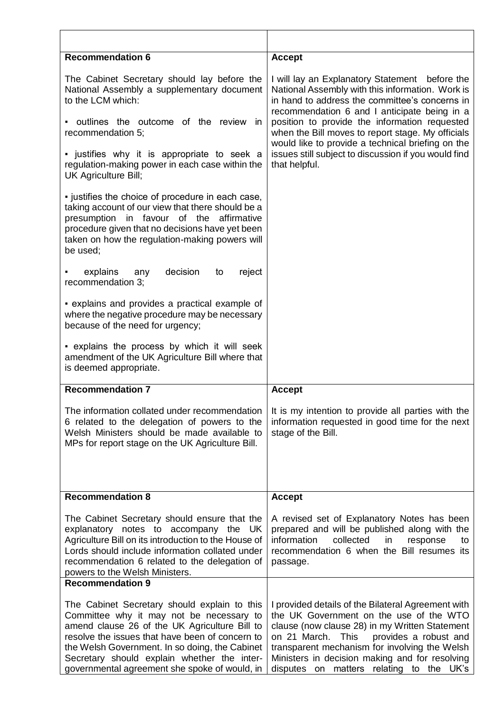| <b>Recommendation 6</b>                                                                                                                                                                                                                                                                                                                        | <b>Accept</b>                                                                                                                                                                                                                                                                                                                                   |
|------------------------------------------------------------------------------------------------------------------------------------------------------------------------------------------------------------------------------------------------------------------------------------------------------------------------------------------------|-------------------------------------------------------------------------------------------------------------------------------------------------------------------------------------------------------------------------------------------------------------------------------------------------------------------------------------------------|
| The Cabinet Secretary should lay before the<br>National Assembly a supplementary document<br>to the LCM which:                                                                                                                                                                                                                                 | I will lay an Explanatory Statement before the<br>National Assembly with this information. Work is<br>in hand to address the committee's concerns in<br>recommendation 6 and I anticipate being in a                                                                                                                                            |
| outlines the outcome of the review<br>- in<br>recommendation 5;                                                                                                                                                                                                                                                                                | position to provide the information requested<br>when the Bill moves to report stage. My officials<br>would like to provide a technical briefing on the<br>issues still subject to discussion if you would find<br>that helpful.                                                                                                                |
| • justifies why it is appropriate to seek a<br>regulation-making power in each case within the<br>UK Agriculture Bill;                                                                                                                                                                                                                         |                                                                                                                                                                                                                                                                                                                                                 |
| . justifies the choice of procedure in each case,<br>taking account of our view that there should be a<br>in favour of the<br>presumption<br>affirmative<br>procedure given that no decisions have yet been<br>taken on how the regulation-making powers will<br>be used;                                                                      |                                                                                                                                                                                                                                                                                                                                                 |
| decision<br>explains<br>reject<br>any<br>to<br>recommendation 3;                                                                                                                                                                                                                                                                               |                                                                                                                                                                                                                                                                                                                                                 |
| • explains and provides a practical example of<br>where the negative procedure may be necessary<br>because of the need for urgency;                                                                                                                                                                                                            |                                                                                                                                                                                                                                                                                                                                                 |
| - explains the process by which it will seek<br>amendment of the UK Agriculture Bill where that<br>is deemed appropriate.                                                                                                                                                                                                                      |                                                                                                                                                                                                                                                                                                                                                 |
| <b>Recommendation 7</b>                                                                                                                                                                                                                                                                                                                        | <b>Accept</b>                                                                                                                                                                                                                                                                                                                                   |
| 6 related to the delegation of powers to the<br>Welsh Ministers should be made available to<br>MPs for report stage on the UK Agriculture Bill.                                                                                                                                                                                                | The information collated under recommendation $\vert$ it is my intention to provide all parties with the<br>information requested in good time for the next<br>stage of the Bill.                                                                                                                                                               |
| <b>Recommendation 8</b>                                                                                                                                                                                                                                                                                                                        | <b>Accept</b>                                                                                                                                                                                                                                                                                                                                   |
| The Cabinet Secretary should ensure that the<br>explanatory notes to accompany the UK<br>Agriculture Bill on its introduction to the House of<br>Lords should include information collated under<br>recommendation 6 related to the delegation of<br>powers to the Welsh Ministers.                                                            | A revised set of Explanatory Notes has been<br>prepared and will be published along with the<br>information<br>collected<br>in<br>response<br>to<br>recommendation 6 when the Bill resumes its<br>passage.                                                                                                                                      |
| <b>Recommendation 9</b>                                                                                                                                                                                                                                                                                                                        |                                                                                                                                                                                                                                                                                                                                                 |
| The Cabinet Secretary should explain to this<br>Committee why it may not be necessary to<br>amend clause 26 of the UK Agriculture Bill to<br>resolve the issues that have been of concern to<br>the Welsh Government. In so doing, the Cabinet<br>Secretary should explain whether the inter-<br>governmental agreement she spoke of would, in | I provided details of the Bilateral Agreement with<br>the UK Government on the use of the WTO<br>clause (now clause 28) in my Written Statement<br>on 21 March.<br>This<br>provides a robust and<br>transparent mechanism for involving the Welsh<br>Ministers in decision making and for resolving<br>disputes on matters relating to the UK's |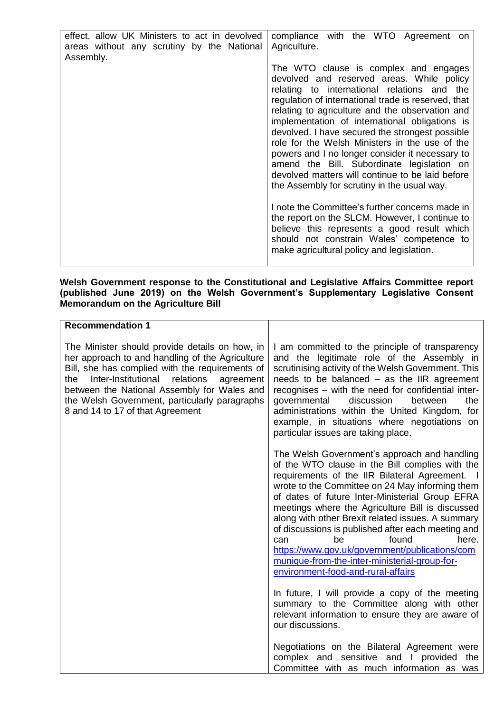| effect, allow UK Ministers to act in devolved<br>areas without any scrutiny by the National<br>Assembly. | compliance with the WTO Agreement on<br>Agriculture.<br>The WTO clause is complex and engages<br>devolved and reserved areas. While policy<br>relating to international relations and the<br>regulation of international trade is reserved, that<br>relating to agriculture and the observation and<br>implementation of international obligations is<br>devolved. I have secured the strongest possible<br>role for the Welsh Ministers in the use of the<br>powers and I no longer consider it necessary to<br>amend the Bill. Subordinate legislation on<br>devolved matters will continue to be laid before<br>the Assembly for scrutiny in the usual way. |
|----------------------------------------------------------------------------------------------------------|----------------------------------------------------------------------------------------------------------------------------------------------------------------------------------------------------------------------------------------------------------------------------------------------------------------------------------------------------------------------------------------------------------------------------------------------------------------------------------------------------------------------------------------------------------------------------------------------------------------------------------------------------------------|
|                                                                                                          | I note the Committee's further concerns made in<br>the report on the SLCM. However, I continue to                                                                                                                                                                                                                                                                                                                                                                                                                                                                                                                                                              |
|                                                                                                          | believe this represents a good result which<br>should not constrain Wales' competence to<br>make agricultural policy and legislation.                                                                                                                                                                                                                                                                                                                                                                                                                                                                                                                          |

#### **Welsh Government response to the Constitutional and Legislative Affairs Committee report (published June 2019) on the Welsh Government's Supplementary Legislative Consent Memorandum on the Agriculture Bill**

| <b>Recommendation 1</b>                                                                                                                                                                                                                                                                                                                          |                                                                                                                                                                                                                                                                                                                                                                                                                                                                                                                                                                                                |
|--------------------------------------------------------------------------------------------------------------------------------------------------------------------------------------------------------------------------------------------------------------------------------------------------------------------------------------------------|------------------------------------------------------------------------------------------------------------------------------------------------------------------------------------------------------------------------------------------------------------------------------------------------------------------------------------------------------------------------------------------------------------------------------------------------------------------------------------------------------------------------------------------------------------------------------------------------|
| The Minister should provide details on how, in<br>her approach to and handling of the Agriculture<br>Bill, she has complied with the requirements of<br>Inter-Institutional<br>relations<br>the<br>agreement<br>between the National Assembly for Wales and<br>the Welsh Government, particularly paragraphs<br>8 and 14 to 17 of that Agreement | I am committed to the principle of transparency<br>and the legitimate role of the Assembly in<br>scrutinising activity of the Welsh Government. This<br>needs to be balanced $-$ as the IIR agreement<br>recognises - with the need for confidential inter-<br>governmental<br>discussion<br>between<br>the<br>administrations within the United Kingdom, for<br>example, in situations where negotiations on<br>particular issues are taking place.                                                                                                                                           |
|                                                                                                                                                                                                                                                                                                                                                  | The Welsh Government's approach and handling<br>of the WTO clause in the Bill complies with the<br>requirements of the IIR Bilateral Agreement. I<br>wrote to the Committee on 24 May informing them<br>of dates of future Inter-Ministerial Group EFRA<br>meetings where the Agriculture Bill is discussed<br>along with other Brexit related issues. A summary<br>of discussions is published after each meeting and<br>found<br>here.<br>be<br>can<br>https://www.gov.uk/government/publications/com<br>munique-from-the-inter-ministerial-group-for-<br>environment-food-and-rural-affairs |
|                                                                                                                                                                                                                                                                                                                                                  | In future, I will provide a copy of the meeting<br>summary to the Committee along with other<br>relevant information to ensure they are aware of<br>our discussions.                                                                                                                                                                                                                                                                                                                                                                                                                           |
|                                                                                                                                                                                                                                                                                                                                                  | Negotiations on the Bilateral Agreement were<br>complex and sensitive and I provided the<br>Committee with as much information as was                                                                                                                                                                                                                                                                                                                                                                                                                                                          |